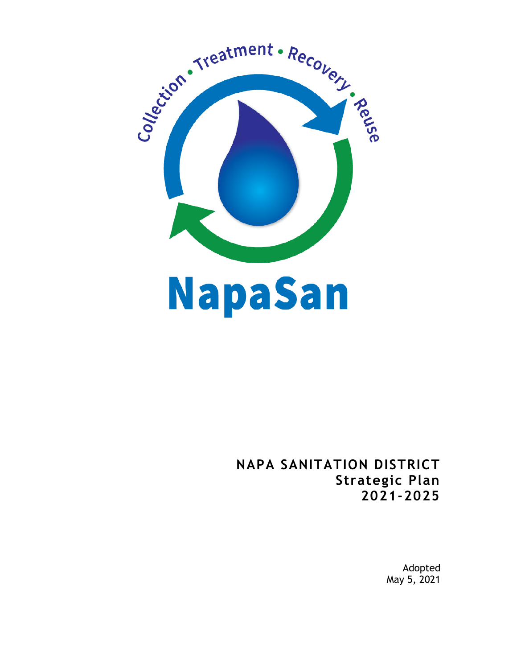

# **NAPA SANITATION DISTRICT Strategic Plan 2021-2025**

Adopted May 5, 2021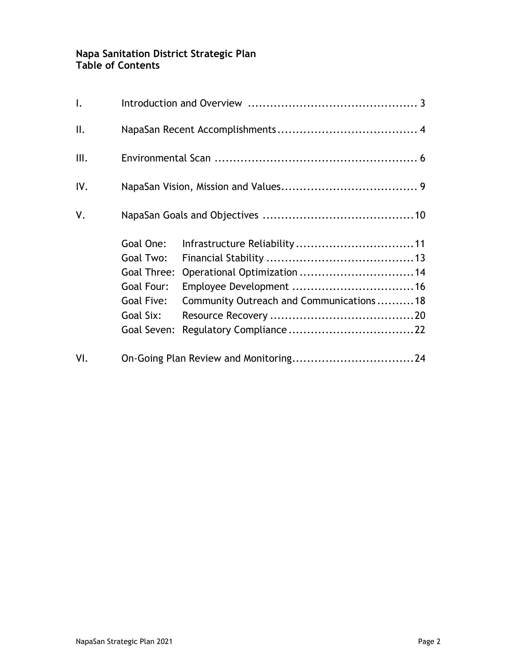## **Napa Sanitation District Strategic Plan Table of Contents**

| $\mathsf{L}$   |                                                                                               |                                                                         |  |
|----------------|-----------------------------------------------------------------------------------------------|-------------------------------------------------------------------------|--|
| $\mathbb{I}$ . |                                                                                               |                                                                         |  |
| III.           |                                                                                               |                                                                         |  |
| IV.            |                                                                                               |                                                                         |  |
| V.             |                                                                                               |                                                                         |  |
|                | Goal One:<br>Goal Two:<br>Goal Three:<br>Goal Four:<br>Goal Five:<br>Goal Six:<br>Goal Seven: | Operational Optimization  14<br>Community Outreach and Communications18 |  |
| VI.            |                                                                                               |                                                                         |  |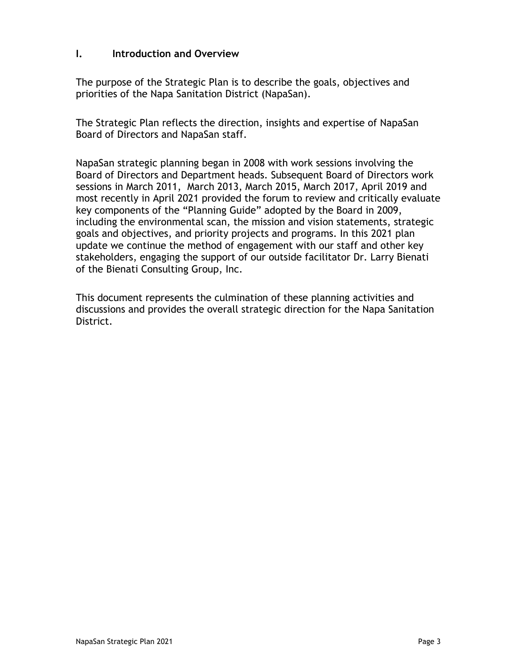## **I. Introduction and Overview**

The purpose of the Strategic Plan is to describe the goals, objectives and priorities of the Napa Sanitation District (NapaSan).

The Strategic Plan reflects the direction, insights and expertise of NapaSan Board of Directors and NapaSan staff.

NapaSan strategic planning began in 2008 with work sessions involving the Board of Directors and Department heads. Subsequent Board of Directors work sessions in March 2011, March 2013, March 2015, March 2017, April 2019 and most recently in April 2021 provided the forum to review and critically evaluate key components of the "Planning Guide" adopted by the Board in 2009, including the environmental scan, the mission and vision statements, strategic goals and objectives, and priority projects and programs. In this 2021 plan update we continue the method of engagement with our staff and other key stakeholders, engaging the support of our outside facilitator Dr. Larry Bienati of the Bienati Consulting Group, Inc.

This document represents the culmination of these planning activities and discussions and provides the overall strategic direction for the Napa Sanitation District.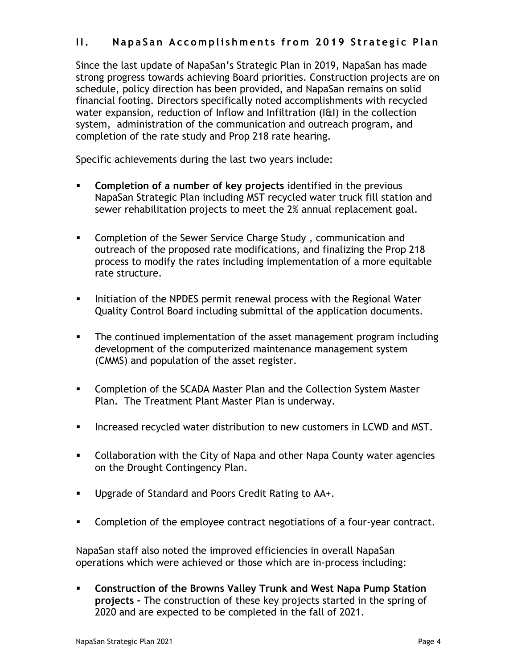## **II.** NapaSan Accomplishments from 2019 Strategic Plan

Since the last update of NapaSan's Strategic Plan in 2019, NapaSan has made strong progress towards achieving Board priorities. Construction projects are on schedule, policy direction has been provided, and NapaSan remains on solid financial footing. Directors specifically noted accomplishments with recycled water expansion, reduction of Inflow and Infiltration (I&I) in the collection system, administration of the communication and outreach program, and completion of the rate study and Prop 218 rate hearing.

Specific achievements during the last two years include:

- **Completion of a number of key projects** identified in the previous NapaSan Strategic Plan including MST recycled water truck fill station and sewer rehabilitation projects to meet the 2% annual replacement goal.
- **EXP** Completion of the Sewer Service Charge Study, communication and outreach of the proposed rate modifications, and finalizing the Prop 218 process to modify the rates including implementation of a more equitable rate structure.
- Initiation of the NPDES permit renewal process with the Regional Water Quality Control Board including submittal of the application documents.
- The continued implementation of the asset management program including development of the computerized maintenance management system (CMMS) and population of the asset register.
- Completion of the SCADA Master Plan and the Collection System Master Plan. The Treatment Plant Master Plan is underway.
- **Increased recycled water distribution to new customers in LCWD and MST.**
- **Collaboration with the City of Napa and other Napa County water agencies** on the Drought Contingency Plan.
- **Upgrade of Standard and Poors Credit Rating to AA+.**
- **Completion of the employee contract negotiations of a four-year contract.**

NapaSan staff also noted the improved efficiencies in overall NapaSan operations which were achieved or those which are in-process including:

 **Construction of the Browns Valley Trunk and West Napa Pump Station projects –** The construction of these key projects started in the spring of 2020 and are expected to be completed in the fall of 2021.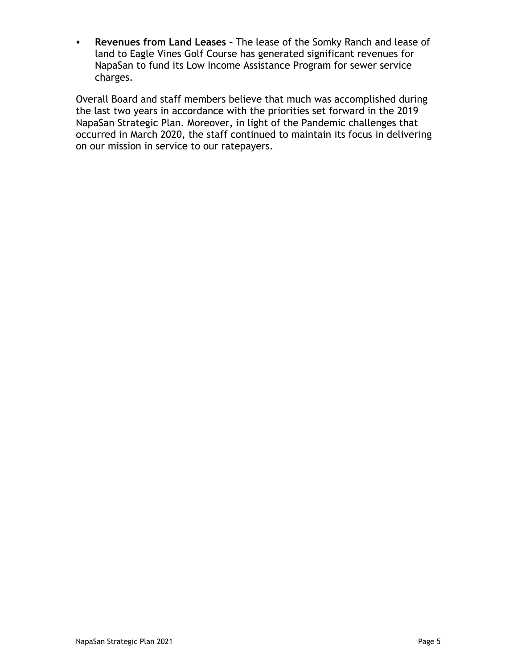**Revenues from Land Leases –** The lease of the Somky Ranch and lease of land to Eagle Vines Golf Course has generated significant revenues for NapaSan to fund its Low Income Assistance Program for sewer service charges.

Overall Board and staff members believe that much was accomplished during the last two years in accordance with the priorities set forward in the 2019 NapaSan Strategic Plan. Moreover, in light of the Pandemic challenges that occurred in March 2020, the staff continued to maintain its focus in delivering on our mission in service to our ratepayers.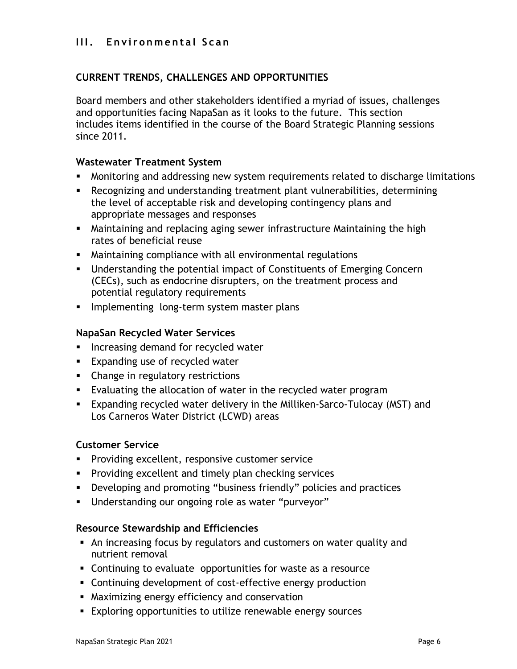## **III. Environmental Scan**

## **CURRENT TRENDS, CHALLENGES AND OPPORTUNITIES**

Board members and other stakeholders identified a myriad of issues, challenges and opportunities facing NapaSan as it looks to the future. This section includes items identified in the course of the Board Strategic Planning sessions since 2011.

## **Wastewater Treatment System**

- Monitoring and addressing new system requirements related to discharge limitations
- Recognizing and understanding treatment plant vulnerabilities, determining the level of acceptable risk and developing contingency plans and appropriate messages and responses
- Maintaining and replacing aging sewer infrastructure Maintaining the high rates of beneficial reuse
- Maintaining compliance with all environmental regulations
- Understanding the potential impact of Constituents of Emerging Concern (CECs), such as endocrine disrupters, on the treatment process and potential regulatory requirements
- **Implementing long-term system master plans**

#### **NapaSan Recycled Water Services**

- **Increasing demand for recycled water**
- **Expanding use of recycled water**
- **EXEC** Change in regulatory restrictions
- Evaluating the allocation of water in the recycled water program
- Expanding recycled water delivery in the Milliken-Sarco-Tulocay (MST) and Los Carneros Water District (LCWD) areas

## **Customer Service**

- **Providing excellent, responsive customer service**
- **Providing excellent and timely plan checking services**
- Developing and promoting "business friendly" policies and practices
- Understanding our ongoing role as water "purveyor"

#### **Resource Stewardship and Efficiencies**

- An increasing focus by regulators and customers on water quality and nutrient removal
- Continuing to evaluate opportunities for waste as a resource
- Continuing development of cost-effective energy production
- Maximizing energy efficiency and conservation
- Exploring opportunities to utilize renewable energy sources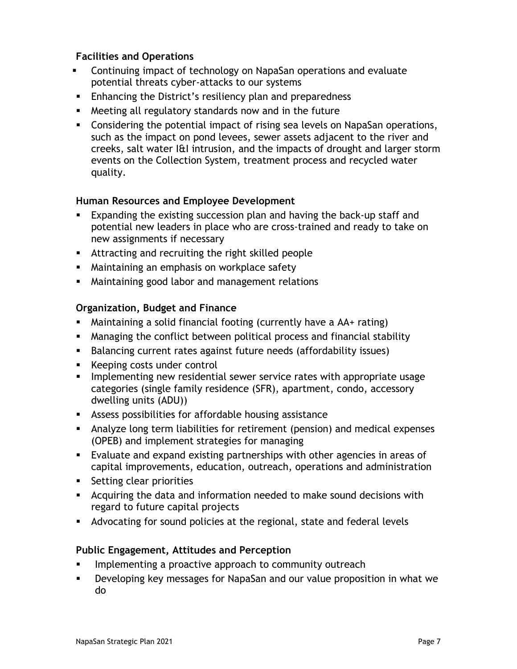## **Facilities and Operations**

- Continuing impact of technology on NapaSan operations and evaluate potential threats cyber-attacks to our systems
- **Enhancing the District's resiliency plan and preparedness**
- Meeting all regulatory standards now and in the future
- Considering the potential impact of rising sea levels on NapaSan operations, such as the impact on pond levees, sewer assets adjacent to the river and creeks, salt water I&I intrusion, and the impacts of drought and larger storm events on the Collection System, treatment process and recycled water quality.

## **Human Resources and Employee Development**

- Expanding the existing succession plan and having the back-up staff and potential new leaders in place who are cross-trained and ready to take on new assignments if necessary
- Attracting and recruiting the right skilled people
- Maintaining an emphasis on workplace safety
- Maintaining good labor and management relations

## **Organization, Budget and Finance**

- Maintaining a solid financial footing (currently have a AA+ rating)
- Managing the conflict between political process and financial stability
- Balancing current rates against future needs (affordability issues)
- **Keeping costs under control**
- **IMPLEMENTIME NEW FEST UPS IS EXAMORED FEEDER** implementing new residential search incorportate usage categories (single family residence (SFR), apartment, condo, accessory dwelling units (ADU))
- Assess possibilities for affordable housing assistance
- Analyze long term liabilities for retirement (pension) and medical expenses (OPEB) and implement strategies for managing
- Evaluate and expand existing partnerships with other agencies in areas of capital improvements, education, outreach, operations and administration
- **Setting clear priorities**
- Acquiring the data and information needed to make sound decisions with regard to future capital projects
- Advocating for sound policies at the regional, state and federal levels

## **Public Engagement, Attitudes and Perception**

- Implementing a proactive approach to community outreach
- Developing key messages for NapaSan and our value proposition in what we do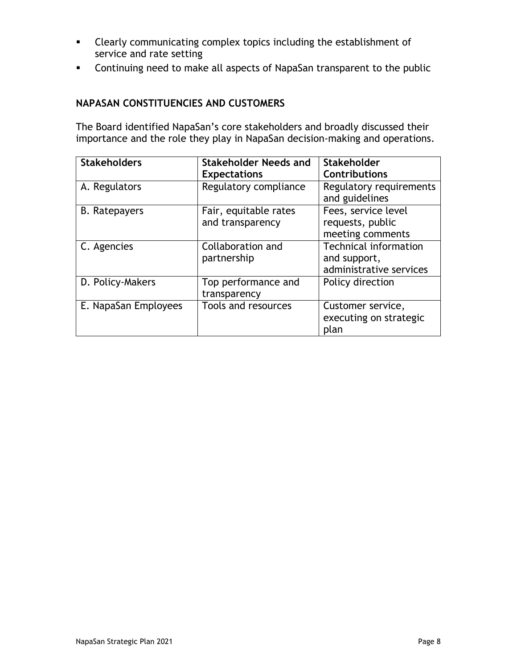- Clearly communicating complex topics including the establishment of service and rate setting
- Continuing need to make all aspects of NapaSan transparent to the public

## **NAPASAN CONSTITUENCIES AND CUSTOMERS**

The Board identified NapaSan's core stakeholders and broadly discussed their importance and the role they play in NapaSan decision-making and operations.

| <b>Stakeholders</b>  | Stakeholder Needs and | <b>Stakeholder</b>                        |
|----------------------|-----------------------|-------------------------------------------|
|                      | <b>Expectations</b>   | <b>Contributions</b>                      |
| A. Regulators        | Regulatory compliance | Regulatory requirements<br>and guidelines |
| <b>B.</b> Ratepayers | Fair, equitable rates | Fees, service level                       |
|                      | and transparency      | requests, public                          |
|                      |                       | meeting comments                          |
| C. Agencies          | Collaboration and     | Technical information                     |
|                      | partnership           | and support,                              |
|                      |                       | administrative services                   |
| D. Policy-Makers     | Top performance and   | Policy direction                          |
|                      | transparency          |                                           |
| E. NapaSan Employees | Tools and resources   | Customer service,                         |
|                      |                       | executing on strategic                    |
|                      |                       | plan                                      |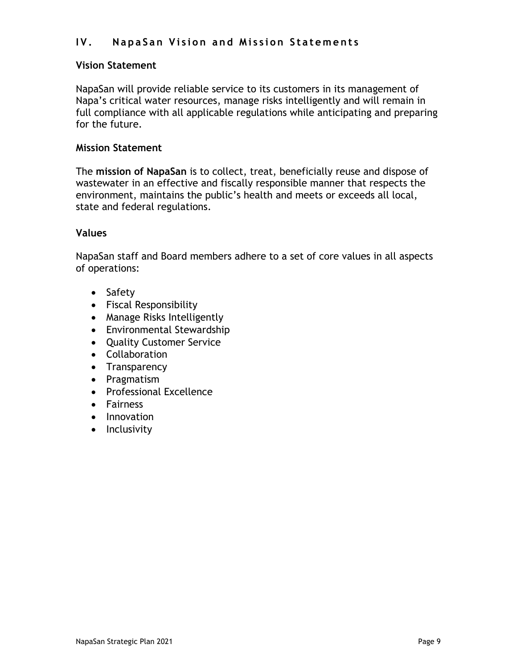## **I V . NapaSan V ision and Mission Statements**

## **Vision Statement**

NapaSan will provide reliable service to its customers in its management of Napa's critical water resources, manage risks intelligently and will remain in full compliance with all applicable regulations while anticipating and preparing for the future.

## **Mission Statement**

The **mission of NapaSan** is to collect, treat, beneficially reuse and dispose of wastewater in an effective and fiscally responsible manner that respects the environment, maintains the public's health and meets or exceeds all local, state and federal regulations.

#### **Values**

NapaSan staff and Board members adhere to a set of core values in all aspects of operations:

- Safety
- Fiscal Responsibility
- Manage Risks Intelligently
- Environmental Stewardship
- Quality Customer Service
- Collaboration
- Transparency
- Pragmatism
- Professional Excellence
- Fairness
- Innovation
- Inclusivity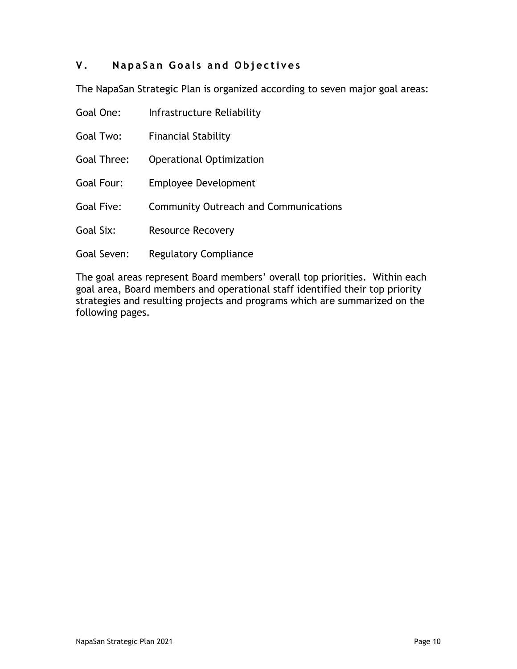## **V . NapaSan Goals and Objectives**

The NapaSan Strategic Plan is organized according to seven major goal areas:

| Goal One:   | Infrastructure Reliability                   |
|-------------|----------------------------------------------|
| Goal Two:   | <b>Financial Stability</b>                   |
| Goal Three: | Operational Optimization                     |
| Goal Four:  | Employee Development                         |
| Goal Five:  | <b>Community Outreach and Communications</b> |
| Goal Six:   | <b>Resource Recovery</b>                     |
| Goal Seven: | <b>Regulatory Compliance</b>                 |

The goal areas represent Board members' overall top priorities. Within each goal area, Board members and operational staff identified their top priority strategies and resulting projects and programs which are summarized on the following pages.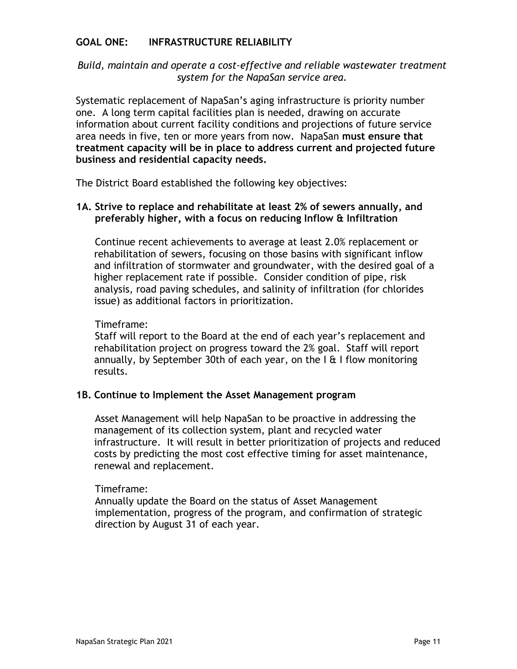## **GOAL ONE: INFRASTRUCTURE RELIABILITY**

## *Build, maintain and operate a cost-effective and reliable wastewater treatment system for the NapaSan service area.*

Systematic replacement of NapaSan's aging infrastructure is priority number one. A long term capital facilities plan is needed, drawing on accurate information about current facility conditions and projections of future service area needs in five, ten or more years from now. NapaSan **must ensure that treatment capacity will be in place to address current and projected future business and residential capacity needs.** 

The District Board established the following key objectives:

## **1A. Strive to replace and rehabilitate at least 2% of sewers annually, and preferably higher, with a focus on reducing Inflow & Infiltration**

Continue recent achievements to average at least 2.0% replacement or rehabilitation of sewers, focusing on those basins with significant inflow and infiltration of stormwater and groundwater, with the desired goal of a higher replacement rate if possible. Consider condition of pipe, risk analysis, road paving schedules, and salinity of infiltration (for chlorides issue) as additional factors in prioritization.

#### Timeframe:

Staff will report to the Board at the end of each year's replacement and rehabilitation project on progress toward the 2% goal. Staff will report annually, by September 30th of each year, on the  $I \oplus I$  I flow monitoring results.

## **1B. Continue to Implement the Asset Management program**

Asset Management will help NapaSan to be proactive in addressing the management of its collection system, plant and recycled water infrastructure. It will result in better prioritization of projects and reduced costs by predicting the most cost effective timing for asset maintenance, renewal and replacement.

#### Timeframe:

Annually update the Board on the status of Asset Management implementation, progress of the program, and confirmation of strategic direction by August 31 of each year.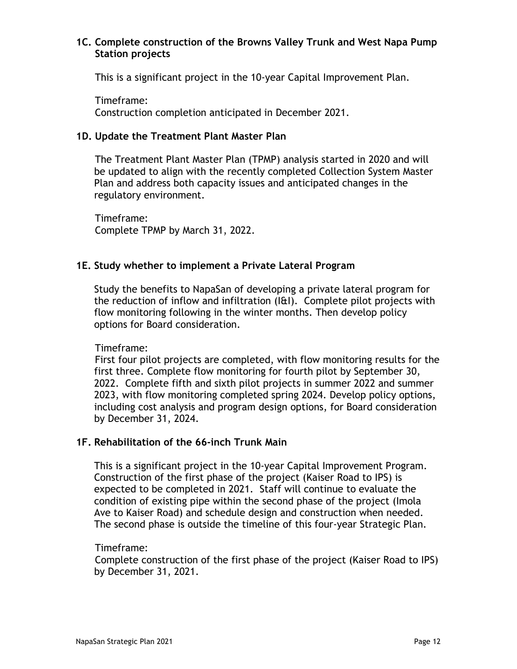## **1C. Complete construction of the Browns Valley Trunk and West Napa Pump Station projects**

This is a significant project in the 10-year Capital Improvement Plan.

Timeframe: Construction completion anticipated in December 2021.

## **1D. Update the Treatment Plant Master Plan**

The Treatment Plant Master Plan (TPMP) analysis started in 2020 and will be updated to align with the recently completed Collection System Master Plan and address both capacity issues and anticipated changes in the regulatory environment.

Timeframe: Complete TPMP by March 31, 2022.

## **1E. Study whether to implement a Private Lateral Program**

Study the benefits to NapaSan of developing a private lateral program for the reduction of inflow and infiltration (I&I). Complete pilot projects with flow monitoring following in the winter months. Then develop policy options for Board consideration.

## Timeframe:

First four pilot projects are completed, with flow monitoring results for the first three. Complete flow monitoring for fourth pilot by September 30, 2022. Complete fifth and sixth pilot projects in summer 2022 and summer 2023, with flow monitoring completed spring 2024. Develop policy options, including cost analysis and program design options, for Board consideration by December 31, 2024.

## **1F. Rehabilitation of the 66-inch Trunk Main**

This is a significant project in the 10-year Capital Improvement Program. Construction of the first phase of the project (Kaiser Road to IPS) is expected to be completed in 2021. Staff will continue to evaluate the condition of existing pipe within the second phase of the project (Imola Ave to Kaiser Road) and schedule design and construction when needed. The second phase is outside the timeline of this four-year Strategic Plan.

## Timeframe:

Complete construction of the first phase of the project (Kaiser Road to IPS) by December 31, 2021.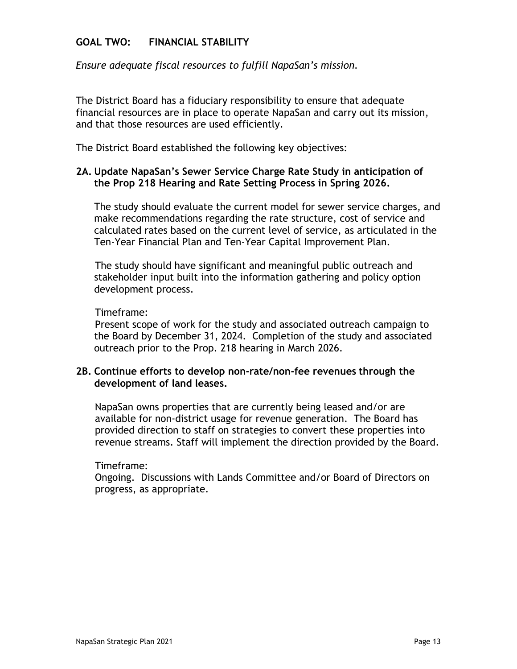## **GOAL TWO: FINANCIAL STABILITY**

*Ensure adequate fiscal resources to fulfill NapaSan's mission.*

The District Board has a fiduciary responsibility to ensure that adequate financial resources are in place to operate NapaSan and carry out its mission, and that those resources are used efficiently.

The District Board established the following key objectives:

## **2A. Update NapaSan's Sewer Service Charge Rate Study in anticipation of the Prop 218 Hearing and Rate Setting Process in Spring 2026.**

The study should evaluate the current model for sewer service charges, and make recommendations regarding the rate structure, cost of service and calculated rates based on the current level of service, as articulated in the Ten-Year Financial Plan and Ten-Year Capital Improvement Plan.

The study should have significant and meaningful public outreach and stakeholder input built into the information gathering and policy option development process.

#### Timeframe:

Present scope of work for the study and associated outreach campaign to the Board by December 31, 2024. Completion of the study and associated outreach prior to the Prop. 218 hearing in March 2026.

## **2B. Continue efforts to develop non-rate/non-fee revenues through the development of land leases.**

NapaSan owns properties that are currently being leased and/or are available for non-district usage for revenue generation. The Board has provided direction to staff on strategies to convert these properties into revenue streams. Staff will implement the direction provided by the Board.

#### Timeframe:

Ongoing. Discussions with Lands Committee and/or Board of Directors on progress, as appropriate.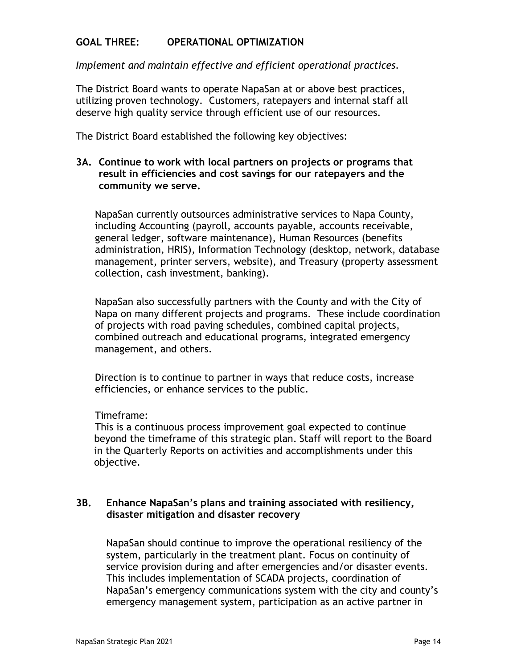## **GOAL THREE: OPERATIONAL OPTIMIZATION**

*Implement and maintain effective and efficient operational practices.*

The District Board wants to operate NapaSan at or above best practices, utilizing proven technology. Customers, ratepayers and internal staff all deserve high quality service through efficient use of our resources.

The District Board established the following key objectives:

### **3A. Continue to work with local partners on projects or programs that result in efficiencies and cost savings for our ratepayers and the community we serve.**

NapaSan currently outsources administrative services to Napa County, including Accounting (payroll, accounts payable, accounts receivable, general ledger, software maintenance), Human Resources (benefits administration, HRIS), Information Technology (desktop, network, database management, printer servers, website), and Treasury (property assessment collection, cash investment, banking).

NapaSan also successfully partners with the County and with the City of Napa on many different projects and programs. These include coordination of projects with road paving schedules, combined capital projects, combined outreach and educational programs, integrated emergency management, and others.

Direction is to continue to partner in ways that reduce costs, increase efficiencies, or enhance services to the public.

#### Timeframe:

This is a continuous process improvement goal expected to continue beyond the timeframe of this strategic plan. Staff will report to the Board in the Quarterly Reports on activities and accomplishments under this objective.

## **3B. Enhance NapaSan's plans and training associated with resiliency, disaster mitigation and disaster recovery**

NapaSan should continue to improve the operational resiliency of the system, particularly in the treatment plant. Focus on continuity of service provision during and after emergencies and/or disaster events. This includes implementation of SCADA projects, coordination of NapaSan's emergency communications system with the city and county's emergency management system, participation as an active partner in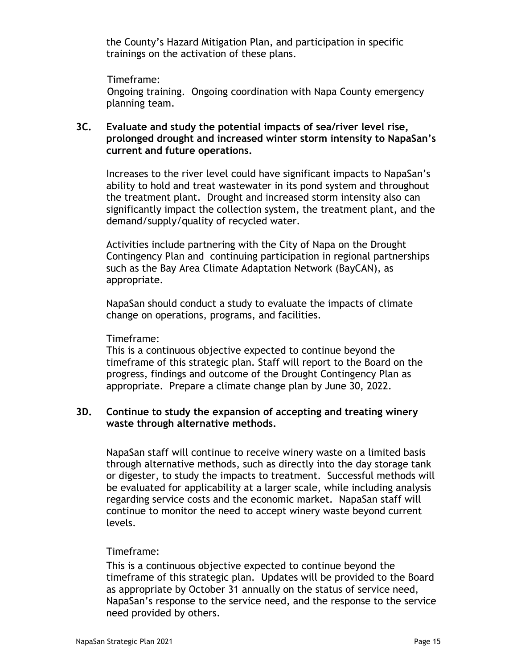the County's Hazard Mitigation Plan, and participation in specific trainings on the activation of these plans.

Timeframe:

Ongoing training. Ongoing coordination with Napa County emergency planning team.

## **3C. Evaluate and study the potential impacts of sea/river level rise, prolonged drought and increased winter storm intensity to NapaSan's current and future operations.**

Increases to the river level could have significant impacts to NapaSan's ability to hold and treat wastewater in its pond system and throughout the treatment plant. Drought and increased storm intensity also can significantly impact the collection system, the treatment plant, and the demand/supply/quality of recycled water.

Activities include partnering with the City of Napa on the Drought Contingency Plan and continuing participation in regional partnerships such as the Bay Area Climate Adaptation Network (BayCAN), as appropriate.

NapaSan should conduct a study to evaluate the impacts of climate change on operations, programs, and facilities.

#### Timeframe:

This is a continuous objective expected to continue beyond the timeframe of this strategic plan. Staff will report to the Board on the progress, findings and outcome of the Drought Contingency Plan as appropriate. Prepare a climate change plan by June 30, 2022.

#### **3D. Continue to study the expansion of accepting and treating winery waste through alternative methods.**

NapaSan staff will continue to receive winery waste on a limited basis through alternative methods, such as directly into the day storage tank or digester, to study the impacts to treatment. Successful methods will be evaluated for applicability at a larger scale, while including analysis regarding service costs and the economic market. NapaSan staff will continue to monitor the need to accept winery waste beyond current levels.

## Timeframe:

This is a continuous objective expected to continue beyond the timeframe of this strategic plan. Updates will be provided to the Board as appropriate by October 31 annually on the status of service need, NapaSan's response to the service need, and the response to the service need provided by others.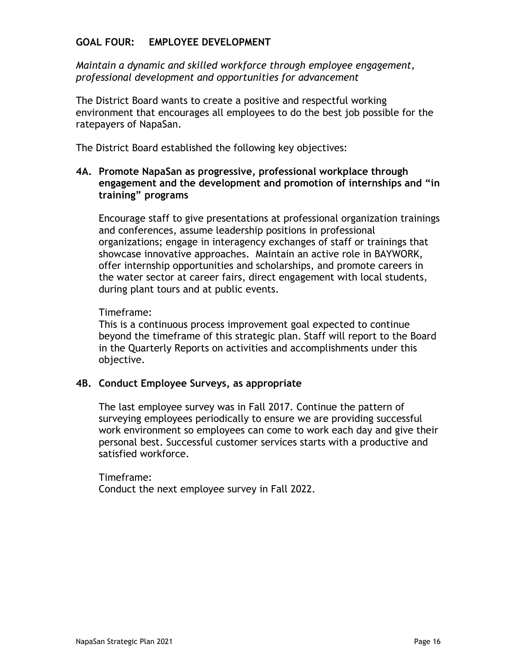## **GOAL FOUR: EMPLOYEE DEVELOPMENT**

*Maintain a dynamic and skilled workforce through employee engagement, professional development and opportunities for advancement*

The District Board wants to create a positive and respectful working environment that encourages all employees to do the best job possible for the ratepayers of NapaSan.

The District Board established the following key objectives:

## **4A. Promote NapaSan as progressive, professional workplace through engagement and the development and promotion of internships and "in training" programs**

Encourage staff to give presentations at professional organization trainings and conferences, assume leadership positions in professional organizations; engage in interagency exchanges of staff or trainings that showcase innovative approaches. Maintain an active role in BAYWORK, offer internship opportunities and scholarships, and promote careers in the water sector at career fairs, direct engagement with local students, during plant tours and at public events.

#### Timeframe:

This is a continuous process improvement goal expected to continue beyond the timeframe of this strategic plan. Staff will report to the Board in the Quarterly Reports on activities and accomplishments under this objective.

## **4B. Conduct Employee Surveys, as appropriate**

The last employee survey was in Fall 2017. Continue the pattern of surveying employees periodically to ensure we are providing successful work environment so employees can come to work each day and give their personal best. Successful customer services starts with a productive and satisfied workforce.

Timeframe: Conduct the next employee survey in Fall 2022.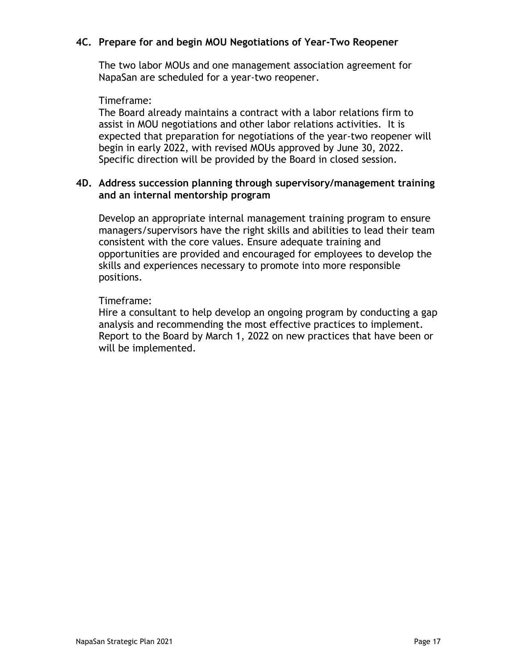## **4C. Prepare for and begin MOU Negotiations of Year-Two Reopener**

The two labor MOUs and one management association agreement for NapaSan are scheduled for a year-two reopener.

#### Timeframe:

The Board already maintains a contract with a labor relations firm to assist in MOU negotiations and other labor relations activities. It is expected that preparation for negotiations of the year-two reopener will begin in early 2022, with revised MOUs approved by June 30, 2022. Specific direction will be provided by the Board in closed session.

#### **4D. Address succession planning through supervisory/management training and an internal mentorship program**

Develop an appropriate internal management training program to ensure managers/supervisors have the right skills and abilities to lead their team consistent with the core values. Ensure adequate training and opportunities are provided and encouraged for employees to develop the skills and experiences necessary to promote into more responsible positions.

#### Timeframe:

Hire a consultant to help develop an ongoing program by conducting a gap analysis and recommending the most effective practices to implement. Report to the Board by March 1, 2022 on new practices that have been or will be implemented.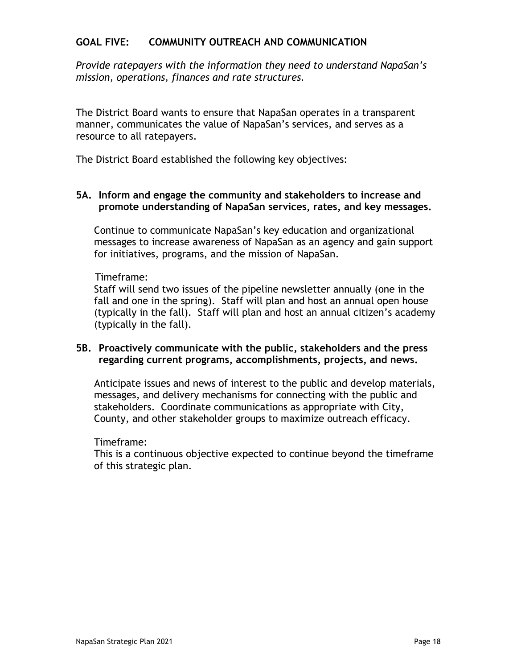## **GOAL FIVE: COMMUNITY OUTREACH AND COMMUNICATION**

*Provide ratepayers with the information they need to understand NapaSan's mission, operations, finances and rate structures.*

The District Board wants to ensure that NapaSan operates in a transparent manner, communicates the value of NapaSan's services, and serves as a resource to all ratepayers.

The District Board established the following key objectives:

**5A. Inform and engage the community and stakeholders to increase and promote understanding of NapaSan services, rates, and key messages.**

Continue to communicate NapaSan's key education and organizational messages to increase awareness of NapaSan as an agency and gain support for initiatives, programs, and the mission of NapaSan.

#### Timeframe:

Staff will send two issues of the pipeline newsletter annually (one in the fall and one in the spring). Staff will plan and host an annual open house (typically in the fall). Staff will plan and host an annual citizen's academy (typically in the fall).

#### **5B. Proactively communicate with the public, stakeholders and the press regarding current programs, accomplishments, projects, and news.**

Anticipate issues and news of interest to the public and develop materials, messages, and delivery mechanisms for connecting with the public and stakeholders. Coordinate communications as appropriate with City, County, and other stakeholder groups to maximize outreach efficacy.

#### Timeframe:

This is a continuous objective expected to continue beyond the timeframe of this strategic plan.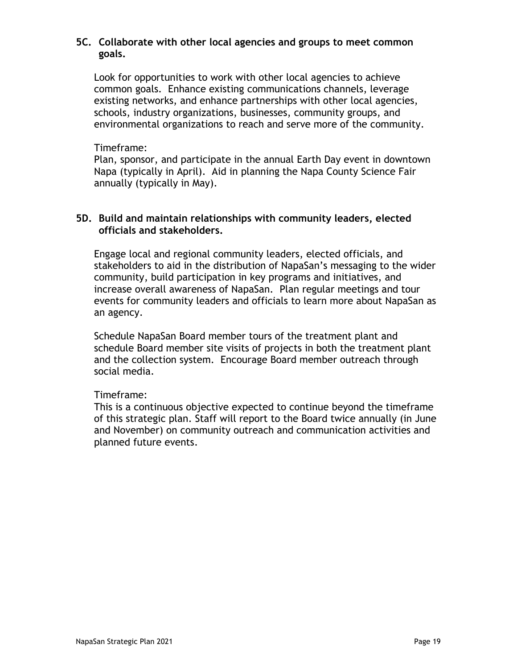## **5C. Collaborate with other local agencies and groups to meet common goals.**

Look for opportunities to work with other local agencies to achieve common goals. Enhance existing communications channels, leverage existing networks, and enhance partnerships with other local agencies, schools, industry organizations, businesses, community groups, and environmental organizations to reach and serve more of the community.

#### Timeframe:

Plan, sponsor, and participate in the annual Earth Day event in downtown Napa (typically in April). Aid in planning the Napa County Science Fair annually (typically in May).

## **5D. Build and maintain relationships with community leaders, elected officials and stakeholders.**

Engage local and regional community leaders, elected officials, and stakeholders to aid in the distribution of NapaSan's messaging to the wider community, build participation in key programs and initiatives, and increase overall awareness of NapaSan. Plan regular meetings and tour events for community leaders and officials to learn more about NapaSan as an agency.

Schedule NapaSan Board member tours of the treatment plant and schedule Board member site visits of projects in both the treatment plant and the collection system. Encourage Board member outreach through social media.

## Timeframe:

This is a continuous objective expected to continue beyond the timeframe of this strategic plan. Staff will report to the Board twice annually (in June and November) on community outreach and communication activities and planned future events.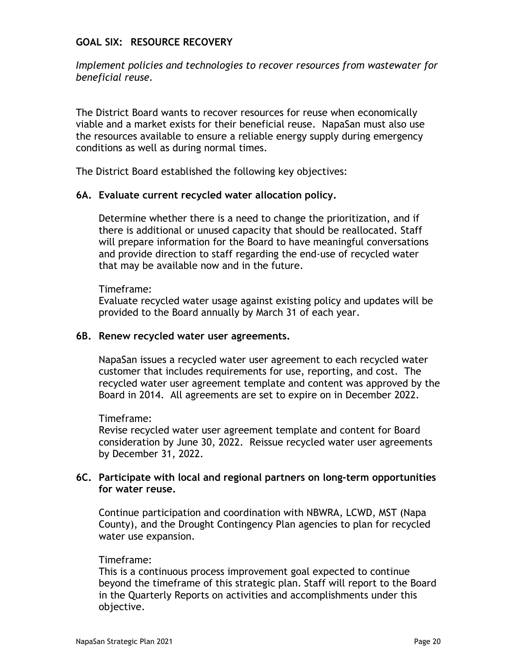### **GOAL SIX: RESOURCE RECOVERY**

*Implement policies and technologies to recover resources from wastewater for beneficial reuse.*

The District Board wants to recover resources for reuse when economically viable and a market exists for their beneficial reuse. NapaSan must also use the resources available to ensure a reliable energy supply during emergency conditions as well as during normal times.

The District Board established the following key objectives:

#### **6A. Evaluate current recycled water allocation policy.**

Determine whether there is a need to change the prioritization, and if there is additional or unused capacity that should be reallocated. Staff will prepare information for the Board to have meaningful conversations and provide direction to staff regarding the end-use of recycled water that may be available now and in the future.

#### Timeframe:

Evaluate recycled water usage against existing policy and updates will be provided to the Board annually by March 31 of each year.

#### **6B. Renew recycled water user agreements.**

NapaSan issues a recycled water user agreement to each recycled water customer that includes requirements for use, reporting, and cost. The recycled water user agreement template and content was approved by the Board in 2014. All agreements are set to expire on in December 2022.

#### Timeframe:

Revise recycled water user agreement template and content for Board consideration by June 30, 2022. Reissue recycled water user agreements by December 31, 2022.

## **6C. Participate with local and regional partners on long-term opportunities for water reuse.**

Continue participation and coordination with NBWRA, LCWD, MST (Napa County), and the Drought Contingency Plan agencies to plan for recycled water use expansion.

#### Timeframe:

This is a continuous process improvement goal expected to continue beyond the timeframe of this strategic plan. Staff will report to the Board in the Quarterly Reports on activities and accomplishments under this objective.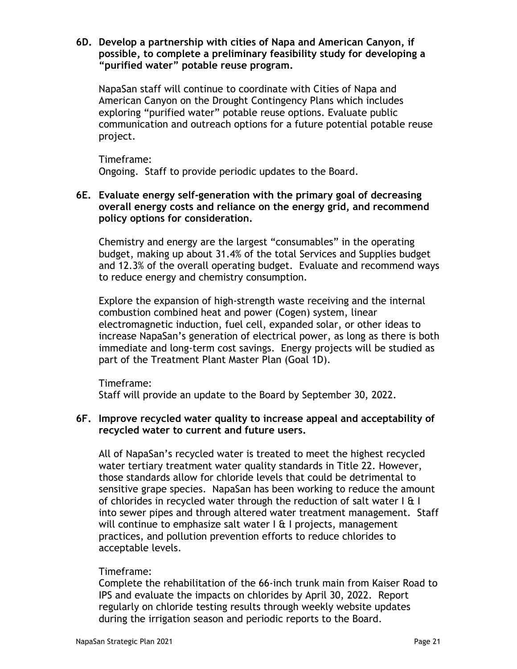#### **6D. Develop a partnership with cities of Napa and American Canyon, if possible, to complete a preliminary feasibility study for developing a "purified water" potable reuse program.**

NapaSan staff will continue to coordinate with Cities of Napa and American Canyon on the Drought Contingency Plans which includes exploring "purified water" potable reuse options. Evaluate public communication and outreach options for a future potential potable reuse project.

Timeframe: Ongoing. Staff to provide periodic updates to the Board.

## **6E. Evaluate energy self-generation with the primary goal of decreasing overall energy costs and reliance on the energy grid, and recommend policy options for consideration.**

Chemistry and energy are the largest "consumables" in the operating budget, making up about 31.4% of the total Services and Supplies budget and 12.3% of the overall operating budget. Evaluate and recommend ways to reduce energy and chemistry consumption.

Explore the expansion of high-strength waste receiving and the internal combustion combined heat and power (Cogen) system, linear electromagnetic induction, fuel cell, expanded solar, or other ideas to increase NapaSan's generation of electrical power, as long as there is both immediate and long-term cost savings. Energy projects will be studied as part of the Treatment Plant Master Plan (Goal 1D).

Timeframe: Staff will provide an update to the Board by September 30, 2022.

## **6F. Improve recycled water quality to increase appeal and acceptability of recycled water to current and future users.**

All of NapaSan's recycled water is treated to meet the highest recycled water tertiary treatment water quality standards in Title 22. However, those standards allow for chloride levels that could be detrimental to sensitive grape species. NapaSan has been working to reduce the amount of chlorides in recycled water through the reduction of salt water  $| \mathbf{a} |$ into sewer pipes and through altered water treatment management. Staff will continue to emphasize salt water  $I \oplus I$  projects, management practices, and pollution prevention efforts to reduce chlorides to acceptable levels.

## Timeframe:

Complete the rehabilitation of the 66-inch trunk main from Kaiser Road to IPS and evaluate the impacts on chlorides by April 30, 2022. Report regularly on chloride testing results through weekly website updates during the irrigation season and periodic reports to the Board.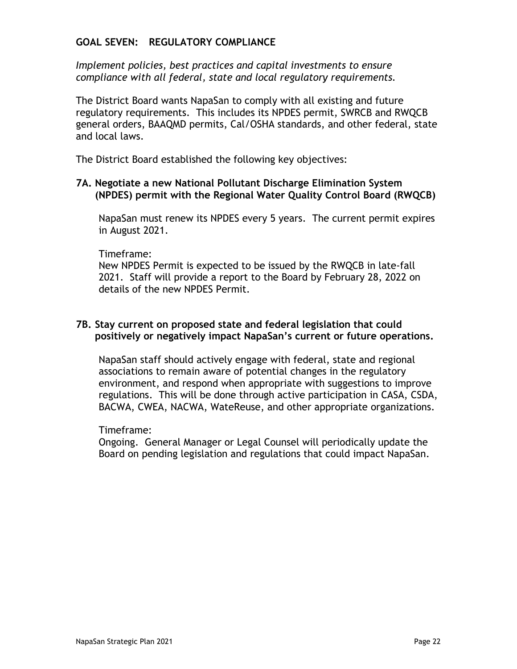## **GOAL SEVEN: REGULATORY COMPLIANCE**

*Implement policies, best practices and capital investments to ensure compliance with all federal, state and local regulatory requirements.* 

The District Board wants NapaSan to comply with all existing and future regulatory requirements. This includes its NPDES permit, SWRCB and RWQCB general orders, BAAQMD permits, Cal/OSHA standards, and other federal, state and local laws.

The District Board established the following key objectives:

#### **7A. Negotiate a new National Pollutant Discharge Elimination System (NPDES) permit with the Regional Water Quality Control Board (RWQCB)**

NapaSan must renew its NPDES every 5 years. The current permit expires in August 2021.

#### Timeframe:

New NPDES Permit is expected to be issued by the RWQCB in late-fall 2021. Staff will provide a report to the Board by February 28, 2022 on details of the new NPDES Permit.

#### **7B. Stay current on proposed state and federal legislation that could positively or negatively impact NapaSan's current or future operations.**

NapaSan staff should actively engage with federal, state and regional associations to remain aware of potential changes in the regulatory environment, and respond when appropriate with suggestions to improve regulations. This will be done through active participation in CASA, CSDA, BACWA, CWEA, NACWA, WateReuse, and other appropriate organizations.

#### Timeframe:

Ongoing. General Manager or Legal Counsel will periodically update the Board on pending legislation and regulations that could impact NapaSan.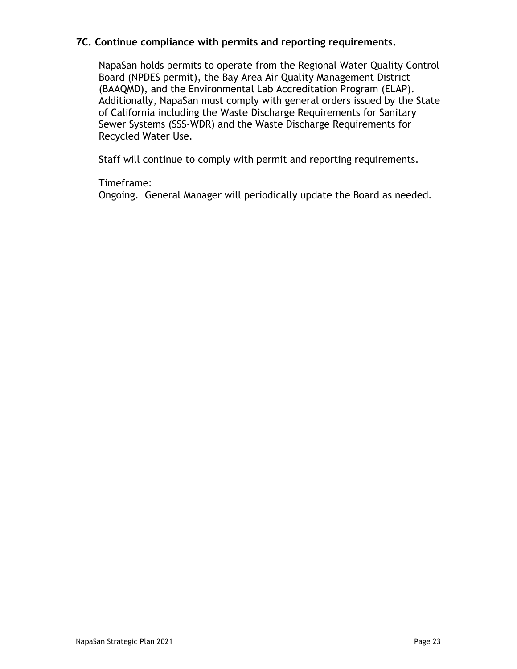## **7C. Continue compliance with permits and reporting requirements.**

NapaSan holds permits to operate from the Regional Water Quality Control Board (NPDES permit), the Bay Area Air Quality Management District (BAAQMD), and the Environmental Lab Accreditation Program (ELAP). Additionally, NapaSan must comply with general orders issued by the State of California including the Waste Discharge Requirements for Sanitary Sewer Systems (SSS-WDR) and the Waste Discharge Requirements for Recycled Water Use.

Staff will continue to comply with permit and reporting requirements.

#### Timeframe:

Ongoing. General Manager will periodically update the Board as needed.